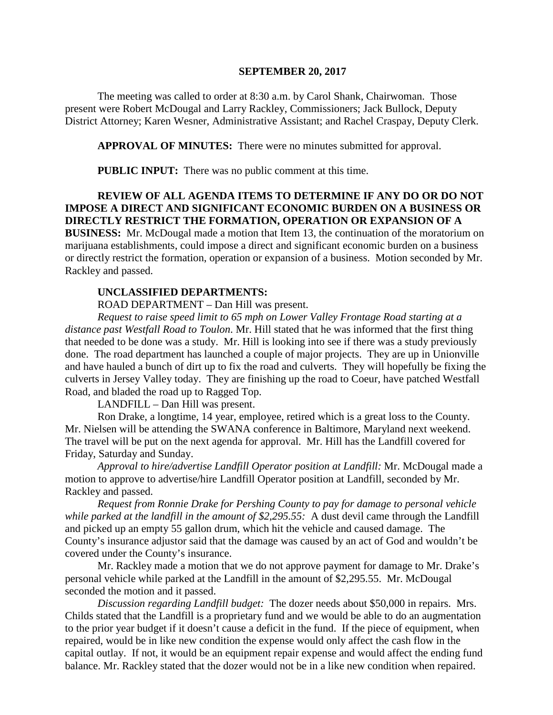#### **SEPTEMBER 20, 2017**

The meeting was called to order at 8:30 a.m. by Carol Shank, Chairwoman. Those present were Robert McDougal and Larry Rackley, Commissioners; Jack Bullock, Deputy District Attorney; Karen Wesner, Administrative Assistant; and Rachel Craspay, Deputy Clerk.

**APPROVAL OF MINUTES:** There were no minutes submitted for approval.

**PUBLIC INPUT:** There was no public comment at this time.

## **REVIEW OF ALL AGENDA ITEMS TO DETERMINE IF ANY DO OR DO NOT IMPOSE A DIRECT AND SIGNIFICANT ECONOMIC BURDEN ON A BUSINESS OR DIRECTLY RESTRICT THE FORMATION, OPERATION OR EXPANSION OF A BUSINESS:** Mr. McDougal made a motion that Item 13, the continuation of the moratorium on marijuana establishments, could impose a direct and significant economic burden on a business

or directly restrict the formation, operation or expansion of a business. Motion seconded by Mr. Rackley and passed.

#### **UNCLASSIFIED DEPARTMENTS:**

ROAD DEPARTMENT – Dan Hill was present.

*Request to raise speed limit to 65 mph on Lower Valley Frontage Road starting at a distance past Westfall Road to Toulon*. Mr. Hill stated that he was informed that the first thing that needed to be done was a study. Mr. Hill is looking into see if there was a study previously done. The road department has launched a couple of major projects. They are up in Unionville and have hauled a bunch of dirt up to fix the road and culverts. They will hopefully be fixing the culverts in Jersey Valley today. They are finishing up the road to Coeur, have patched Westfall Road, and bladed the road up to Ragged Top.

LANDFILL – Dan Hill was present.

Ron Drake, a longtime, 14 year, employee, retired which is a great loss to the County. Mr. Nielsen will be attending the SWANA conference in Baltimore, Maryland next weekend. The travel will be put on the next agenda for approval. Mr. Hill has the Landfill covered for Friday, Saturday and Sunday.

*Approval to hire/advertise Landfill Operator position at Landfill:* Mr. McDougal made a motion to approve to advertise/hire Landfill Operator position at Landfill, seconded by Mr. Rackley and passed.

*Request from Ronnie Drake for Pershing County to pay for damage to personal vehicle while parked at the landfill in the amount of \$2,295.55:* A dust devil came through the Landfill and picked up an empty 55 gallon drum, which hit the vehicle and caused damage. The County's insurance adjustor said that the damage was caused by an act of God and wouldn't be covered under the County's insurance.

Mr. Rackley made a motion that we do not approve payment for damage to Mr. Drake's personal vehicle while parked at the Landfill in the amount of \$2,295.55. Mr. McDougal seconded the motion and it passed.

*Discussion regarding Landfill budget:* The dozer needs about \$50,000 in repairs. Mrs. Childs stated that the Landfill is a proprietary fund and we would be able to do an augmentation to the prior year budget if it doesn't cause a deficit in the fund. If the piece of equipment, when repaired, would be in like new condition the expense would only affect the cash flow in the capital outlay. If not, it would be an equipment repair expense and would affect the ending fund balance. Mr. Rackley stated that the dozer would not be in a like new condition when repaired.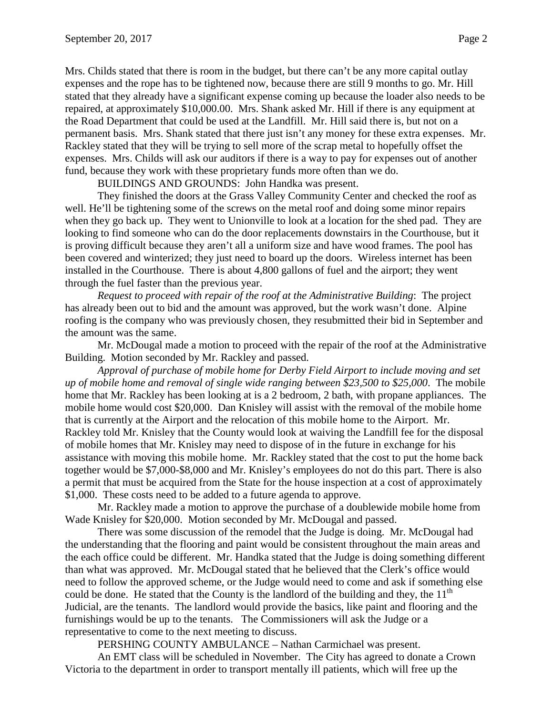Mrs. Childs stated that there is room in the budget, but there can't be any more capital outlay expenses and the rope has to be tightened now, because there are still 9 months to go. Mr. Hill stated that they already have a significant expense coming up because the loader also needs to be repaired, at approximately \$10,000.00. Mrs. Shank asked Mr. Hill if there is any equipment at the Road Department that could be used at the Landfill. Mr. Hill said there is, but not on a permanent basis. Mrs. Shank stated that there just isn't any money for these extra expenses. Mr. Rackley stated that they will be trying to sell more of the scrap metal to hopefully offset the expenses. Mrs. Childs will ask our auditors if there is a way to pay for expenses out of another fund, because they work with these proprietary funds more often than we do.

BUILDINGS AND GROUNDS: John Handka was present.

They finished the doors at the Grass Valley Community Center and checked the roof as well. He'll be tightening some of the screws on the metal roof and doing some minor repairs when they go back up. They went to Unionville to look at a location for the shed pad. They are looking to find someone who can do the door replacements downstairs in the Courthouse, but it is proving difficult because they aren't all a uniform size and have wood frames. The pool has been covered and winterized; they just need to board up the doors. Wireless internet has been installed in the Courthouse. There is about 4,800 gallons of fuel and the airport; they went through the fuel faster than the previous year.

*Request to proceed with repair of the roof at the Administrative Building*: The project has already been out to bid and the amount was approved, but the work wasn't done. Alpine roofing is the company who was previously chosen, they resubmitted their bid in September and the amount was the same.

Mr. McDougal made a motion to proceed with the repair of the roof at the Administrative Building. Motion seconded by Mr. Rackley and passed.

*Approval of purchase of mobile home for Derby Field Airport to include moving and set up of mobile home and removal of single wide ranging between \$23,500 to \$25,000*. The mobile home that Mr. Rackley has been looking at is a 2 bedroom, 2 bath, with propane appliances. The mobile home would cost \$20,000. Dan Knisley will assist with the removal of the mobile home that is currently at the Airport and the relocation of this mobile home to the Airport. Mr. Rackley told Mr. Knisley that the County would look at waiving the Landfill fee for the disposal of mobile homes that Mr. Knisley may need to dispose of in the future in exchange for his assistance with moving this mobile home. Mr. Rackley stated that the cost to put the home back together would be \$7,000-\$8,000 and Mr. Knisley's employees do not do this part. There is also a permit that must be acquired from the State for the house inspection at a cost of approximately \$1,000. These costs need to be added to a future agenda to approve.

Mr. Rackley made a motion to approve the purchase of a doublewide mobile home from Wade Knisley for \$20,000. Motion seconded by Mr. McDougal and passed.

There was some discussion of the remodel that the Judge is doing. Mr. McDougal had the understanding that the flooring and paint would be consistent throughout the main areas and the each office could be different. Mr. Handka stated that the Judge is doing something different than what was approved. Mr. McDougal stated that he believed that the Clerk's office would need to follow the approved scheme, or the Judge would need to come and ask if something else could be done. He stated that the County is the landlord of the building and they, the  $11<sup>th</sup>$ Judicial, are the tenants. The landlord would provide the basics, like paint and flooring and the furnishings would be up to the tenants. The Commissioners will ask the Judge or a representative to come to the next meeting to discuss.

PERSHING COUNTY AMBULANCE – Nathan Carmichael was present.

An EMT class will be scheduled in November. The City has agreed to donate a Crown Victoria to the department in order to transport mentally ill patients, which will free up the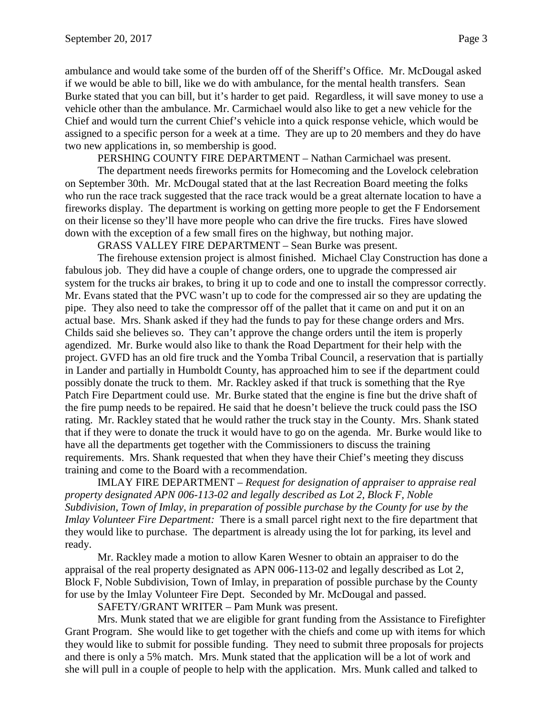ambulance and would take some of the burden off of the Sheriff's Office. Mr. McDougal asked if we would be able to bill, like we do with ambulance, for the mental health transfers. Sean Burke stated that you can bill, but it's harder to get paid. Regardless, it will save money to use a vehicle other than the ambulance. Mr. Carmichael would also like to get a new vehicle for the Chief and would turn the current Chief's vehicle into a quick response vehicle, which would be assigned to a specific person for a week at a time. They are up to 20 members and they do have two new applications in, so membership is good.

PERSHING COUNTY FIRE DEPARTMENT – Nathan Carmichael was present.

The department needs fireworks permits for Homecoming and the Lovelock celebration on September 30th. Mr. McDougal stated that at the last Recreation Board meeting the folks who run the race track suggested that the race track would be a great alternate location to have a fireworks display. The department is working on getting more people to get the F Endorsement on their license so they'll have more people who can drive the fire trucks. Fires have slowed down with the exception of a few small fires on the highway, but nothing major.

GRASS VALLEY FIRE DEPARTMENT – Sean Burke was present.

The firehouse extension project is almost finished. Michael Clay Construction has done a fabulous job. They did have a couple of change orders, one to upgrade the compressed air system for the trucks air brakes, to bring it up to code and one to install the compressor correctly. Mr. Evans stated that the PVC wasn't up to code for the compressed air so they are updating the pipe. They also need to take the compressor off of the pallet that it came on and put it on an actual base. Mrs. Shank asked if they had the funds to pay for these change orders and Mrs. Childs said she believes so. They can't approve the change orders until the item is properly agendized. Mr. Burke would also like to thank the Road Department for their help with the project. GVFD has an old fire truck and the Yomba Tribal Council, a reservation that is partially in Lander and partially in Humboldt County, has approached him to see if the department could possibly donate the truck to them. Mr. Rackley asked if that truck is something that the Rye Patch Fire Department could use. Mr. Burke stated that the engine is fine but the drive shaft of the fire pump needs to be repaired. He said that he doesn't believe the truck could pass the ISO rating. Mr. Rackley stated that he would rather the truck stay in the County. Mrs. Shank stated that if they were to donate the truck it would have to go on the agenda. Mr. Burke would like to have all the departments get together with the Commissioners to discuss the training requirements. Mrs. Shank requested that when they have their Chief's meeting they discuss training and come to the Board with a recommendation.

IMLAY FIRE DEPARTMENT – *Request for designation of appraiser to appraise real property designated APN 006-113-02 and legally described as Lot 2, Block F, Noble Subdivision, Town of Imlay, in preparation of possible purchase by the County for use by the Imlay Volunteer Fire Department:* There is a small parcel right next to the fire department that they would like to purchase. The department is already using the lot for parking, its level and ready.

Mr. Rackley made a motion to allow Karen Wesner to obtain an appraiser to do the appraisal of the real property designated as APN 006-113-02 and legally described as Lot 2, Block F, Noble Subdivision, Town of Imlay, in preparation of possible purchase by the County for use by the Imlay Volunteer Fire Dept. Seconded by Mr. McDougal and passed.

SAFETY/GRANT WRITER – Pam Munk was present.

Mrs. Munk stated that we are eligible for grant funding from the Assistance to Firefighter Grant Program. She would like to get together with the chiefs and come up with items for which they would like to submit for possible funding. They need to submit three proposals for projects and there is only a 5% match. Mrs. Munk stated that the application will be a lot of work and she will pull in a couple of people to help with the application. Mrs. Munk called and talked to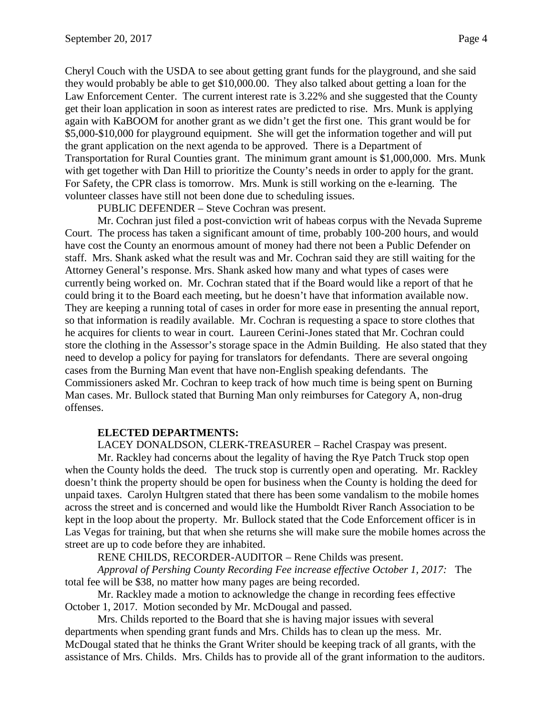Cheryl Couch with the USDA to see about getting grant funds for the playground, and she said they would probably be able to get \$10,000.00. They also talked about getting a loan for the Law Enforcement Center. The current interest rate is 3.22% and she suggested that the County get their loan application in soon as interest rates are predicted to rise. Mrs. Munk is applying again with KaBOOM for another grant as we didn't get the first one. This grant would be for \$5,000-\$10,000 for playground equipment. She will get the information together and will put the grant application on the next agenda to be approved. There is a Department of Transportation for Rural Counties grant. The minimum grant amount is \$1,000,000. Mrs. Munk with get together with Dan Hill to prioritize the County's needs in order to apply for the grant. For Safety, the CPR class is tomorrow. Mrs. Munk is still working on the e-learning. The volunteer classes have still not been done due to scheduling issues.

PUBLIC DEFENDER – Steve Cochran was present.

Mr. Cochran just filed a post-conviction writ of habeas corpus with the Nevada Supreme Court. The process has taken a significant amount of time, probably 100-200 hours, and would have cost the County an enormous amount of money had there not been a Public Defender on staff. Mrs. Shank asked what the result was and Mr. Cochran said they are still waiting for the Attorney General's response. Mrs. Shank asked how many and what types of cases were currently being worked on. Mr. Cochran stated that if the Board would like a report of that he could bring it to the Board each meeting, but he doesn't have that information available now. They are keeping a running total of cases in order for more ease in presenting the annual report, so that information is readily available. Mr. Cochran is requesting a space to store clothes that he acquires for clients to wear in court. Laureen Cerini-Jones stated that Mr. Cochran could store the clothing in the Assessor's storage space in the Admin Building. He also stated that they need to develop a policy for paying for translators for defendants. There are several ongoing cases from the Burning Man event that have non-English speaking defendants. The Commissioners asked Mr. Cochran to keep track of how much time is being spent on Burning Man cases. Mr. Bullock stated that Burning Man only reimburses for Category A, non-drug offenses.

## **ELECTED DEPARTMENTS:**

LACEY DONALDSON, CLERK-TREASURER – Rachel Craspay was present.

Mr. Rackley had concerns about the legality of having the Rye Patch Truck stop open when the County holds the deed. The truck stop is currently open and operating. Mr. Rackley doesn't think the property should be open for business when the County is holding the deed for unpaid taxes. Carolyn Hultgren stated that there has been some vandalism to the mobile homes across the street and is concerned and would like the Humboldt River Ranch Association to be kept in the loop about the property. Mr. Bullock stated that the Code Enforcement officer is in Las Vegas for training, but that when she returns she will make sure the mobile homes across the street are up to code before they are inhabited.

RENE CHILDS, RECORDER-AUDITOR – Rene Childs was present.

*Approval of Pershing County Recording Fee increase effective October 1, 2017:* The total fee will be \$38, no matter how many pages are being recorded.

Mr. Rackley made a motion to acknowledge the change in recording fees effective October 1, 2017. Motion seconded by Mr. McDougal and passed.

Mrs. Childs reported to the Board that she is having major issues with several departments when spending grant funds and Mrs. Childs has to clean up the mess. Mr. McDougal stated that he thinks the Grant Writer should be keeping track of all grants, with the assistance of Mrs. Childs. Mrs. Childs has to provide all of the grant information to the auditors.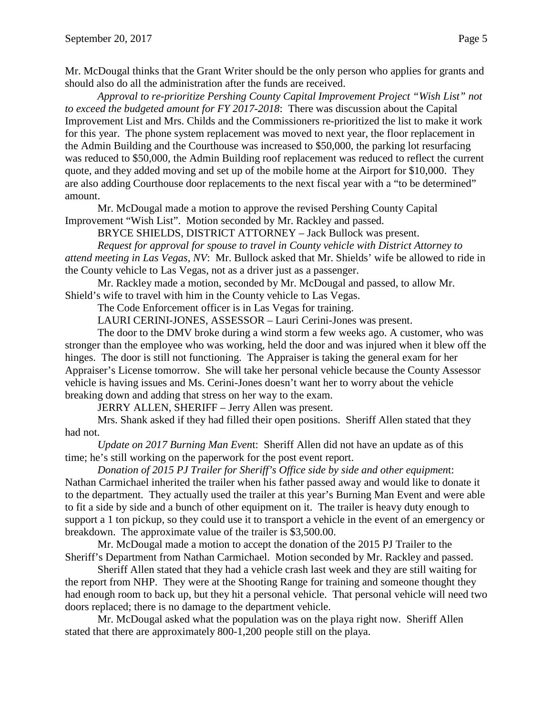Mr. McDougal thinks that the Grant Writer should be the only person who applies for grants and should also do all the administration after the funds are received.

*Approval to re-prioritize Pershing County Capital Improvement Project "Wish List" not to exceed the budgeted amount for FY 2017-2018*: There was discussion about the Capital Improvement List and Mrs. Childs and the Commissioners re-prioritized the list to make it work for this year. The phone system replacement was moved to next year, the floor replacement in the Admin Building and the Courthouse was increased to \$50,000, the parking lot resurfacing was reduced to \$50,000, the Admin Building roof replacement was reduced to reflect the current quote, and they added moving and set up of the mobile home at the Airport for \$10,000. They are also adding Courthouse door replacements to the next fiscal year with a "to be determined" amount.

Mr. McDougal made a motion to approve the revised Pershing County Capital Improvement "Wish List". Motion seconded by Mr. Rackley and passed.

BRYCE SHIELDS, DISTRICT ATTORNEY – Jack Bullock was present.

*Request for approval for spouse to travel in County vehicle with District Attorney to attend meeting in Las Vegas, NV*: Mr. Bullock asked that Mr. Shields' wife be allowed to ride in the County vehicle to Las Vegas, not as a driver just as a passenger.

Mr. Rackley made a motion, seconded by Mr. McDougal and passed, to allow Mr. Shield's wife to travel with him in the County vehicle to Las Vegas.

The Code Enforcement officer is in Las Vegas for training.

LAURI CERINI-JONES, ASSESSOR – Lauri Cerini-Jones was present.

The door to the DMV broke during a wind storm a few weeks ago. A customer, who was stronger than the employee who was working, held the door and was injured when it blew off the hinges. The door is still not functioning. The Appraiser is taking the general exam for her Appraiser's License tomorrow. She will take her personal vehicle because the County Assessor vehicle is having issues and Ms. Cerini-Jones doesn't want her to worry about the vehicle breaking down and adding that stress on her way to the exam.

JERRY ALLEN, SHERIFF – Jerry Allen was present.

Mrs. Shank asked if they had filled their open positions. Sheriff Allen stated that they had not.

*Update on 2017 Burning Man Even*t: Sheriff Allen did not have an update as of this time; he's still working on the paperwork for the post event report.

*Donation of 2015 PJ Trailer for Sheriff's Office side by side and other equipmen*t: Nathan Carmichael inherited the trailer when his father passed away and would like to donate it to the department. They actually used the trailer at this year's Burning Man Event and were able to fit a side by side and a bunch of other equipment on it. The trailer is heavy duty enough to support a 1 ton pickup, so they could use it to transport a vehicle in the event of an emergency or breakdown. The approximate value of the trailer is \$3,500.00.

Mr. McDougal made a motion to accept the donation of the 2015 PJ Trailer to the Sheriff's Department from Nathan Carmichael. Motion seconded by Mr. Rackley and passed.

Sheriff Allen stated that they had a vehicle crash last week and they are still waiting for the report from NHP. They were at the Shooting Range for training and someone thought they had enough room to back up, but they hit a personal vehicle. That personal vehicle will need two doors replaced; there is no damage to the department vehicle.

Mr. McDougal asked what the population was on the playa right now. Sheriff Allen stated that there are approximately 800-1,200 people still on the playa.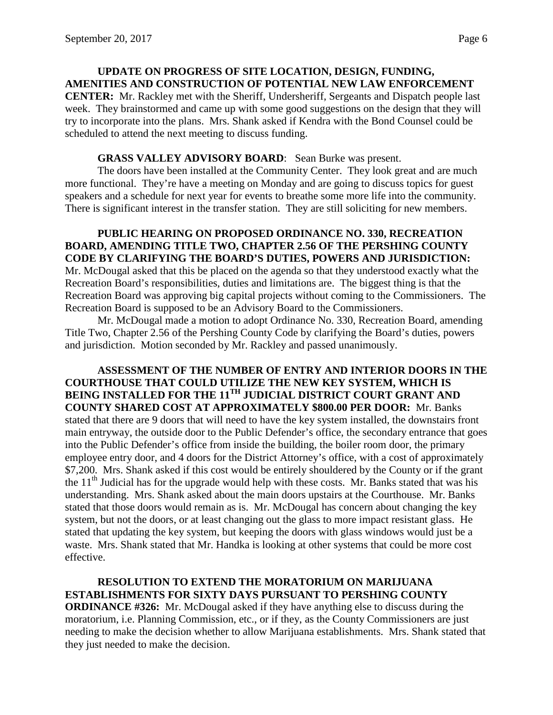## **UPDATE ON PROGRESS OF SITE LOCATION, DESIGN, FUNDING, AMENITIES AND CONSTRUCTION OF POTENTIAL NEW LAW ENFORCEMENT CENTER:** Mr. Rackley met with the Sheriff, Undersheriff, Sergeants and Dispatch people last week. They brainstormed and came up with some good suggestions on the design that they will try to incorporate into the plans. Mrs. Shank asked if Kendra with the Bond Counsel could be scheduled to attend the next meeting to discuss funding.

# **GRASS VALLEY ADVISORY BOARD**: Sean Burke was present.

The doors have been installed at the Community Center. They look great and are much more functional. They're have a meeting on Monday and are going to discuss topics for guest speakers and a schedule for next year for events to breathe some more life into the community. There is significant interest in the transfer station. They are still soliciting for new members.

**PUBLIC HEARING ON PROPOSED ORDINANCE NO. 330, RECREATION BOARD, AMENDING TITLE TWO, CHAPTER 2.56 OF THE PERSHING COUNTY CODE BY CLARIFYING THE BOARD'S DUTIES, POWERS AND JURISDICTION:**  Mr. McDougal asked that this be placed on the agenda so that they understood exactly what the Recreation Board's responsibilities, duties and limitations are. The biggest thing is that the Recreation Board was approving big capital projects without coming to the Commissioners. The Recreation Board is supposed to be an Advisory Board to the Commissioners.

Mr. McDougal made a motion to adopt Ordinance No. 330, Recreation Board, amending Title Two, Chapter 2.56 of the Pershing County Code by clarifying the Board's duties, powers and jurisdiction. Motion seconded by Mr. Rackley and passed unanimously.

**ASSESSMENT OF THE NUMBER OF ENTRY AND INTERIOR DOORS IN THE COURTHOUSE THAT COULD UTILIZE THE NEW KEY SYSTEM, WHICH IS BEING INSTALLED FOR THE 11TH JUDICIAL DISTRICT COURT GRANT AND COUNTY SHARED COST AT APPROXIMATELY \$800.00 PER DOOR:** Mr. Banks stated that there are 9 doors that will need to have the key system installed, the downstairs front main entryway, the outside door to the Public Defender's office, the secondary entrance that goes into the Public Defender's office from inside the building, the boiler room door, the primary employee entry door, and 4 doors for the District Attorney's office, with a cost of approximately \$7,200. Mrs. Shank asked if this cost would be entirely shouldered by the County or if the grant the  $11<sup>th</sup>$  Judicial has for the upgrade would help with these costs. Mr. Banks stated that was his understanding. Mrs. Shank asked about the main doors upstairs at the Courthouse. Mr. Banks stated that those doors would remain as is. Mr. McDougal has concern about changing the key system, but not the doors, or at least changing out the glass to more impact resistant glass. He stated that updating the key system, but keeping the doors with glass windows would just be a waste. Mrs. Shank stated that Mr. Handka is looking at other systems that could be more cost effective.

**RESOLUTION TO EXTEND THE MORATORIUM ON MARIJUANA ESTABLISHMENTS FOR SIXTY DAYS PURSUANT TO PERSHING COUNTY ORDINANCE #326:** Mr. McDougal asked if they have anything else to discuss during the moratorium, i.e. Planning Commission, etc., or if they, as the County Commissioners are just needing to make the decision whether to allow Marijuana establishments. Mrs. Shank stated that they just needed to make the decision.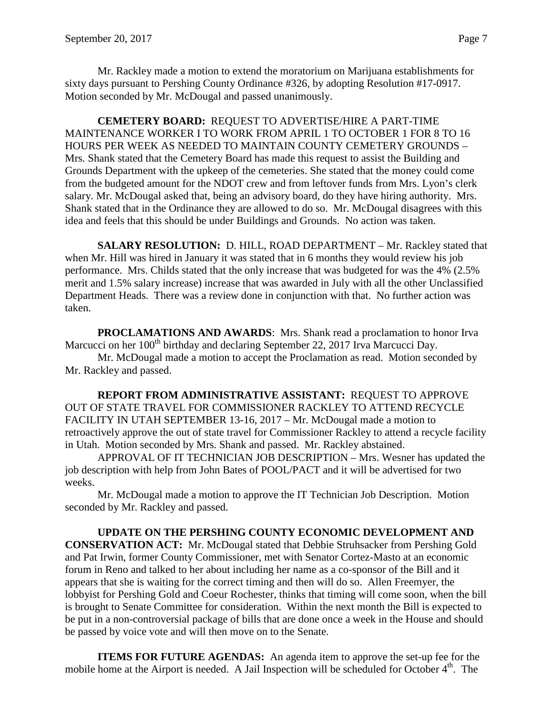Mr. Rackley made a motion to extend the moratorium on Marijuana establishments for sixty days pursuant to Pershing County Ordinance #326, by adopting Resolution #17-0917. Motion seconded by Mr. McDougal and passed unanimously.

**CEMETERY BOARD:** REQUEST TO ADVERTISE/HIRE A PART-TIME MAINTENANCE WORKER I TO WORK FROM APRIL 1 TO OCTOBER 1 FOR 8 TO 16 HOURS PER WEEK AS NEEDED TO MAINTAIN COUNTY CEMETERY GROUNDS – Mrs. Shank stated that the Cemetery Board has made this request to assist the Building and Grounds Department with the upkeep of the cemeteries. She stated that the money could come from the budgeted amount for the NDOT crew and from leftover funds from Mrs. Lyon's clerk salary. Mr. McDougal asked that, being an advisory board, do they have hiring authority. Mrs. Shank stated that in the Ordinance they are allowed to do so. Mr. McDougal disagrees with this idea and feels that this should be under Buildings and Grounds. No action was taken.

**SALARY RESOLUTION:** D. HILL, ROAD DEPARTMENT – Mr. Rackley stated that when Mr. Hill was hired in January it was stated that in 6 months they would review his job performance. Mrs. Childs stated that the only increase that was budgeted for was the 4% (2.5% merit and 1.5% salary increase) increase that was awarded in July with all the other Unclassified Department Heads. There was a review done in conjunction with that. No further action was taken.

**PROCLAMATIONS AND AWARDS**: Mrs. Shank read a proclamation to honor Irva Marcucci on her 100<sup>th</sup> birthday and declaring September 22, 2017 Irva Marcucci Day.

Mr. McDougal made a motion to accept the Proclamation as read. Motion seconded by Mr. Rackley and passed.

**REPORT FROM ADMINISTRATIVE ASSISTANT:** REQUEST TO APPROVE OUT OF STATE TRAVEL FOR COMMISSIONER RACKLEY TO ATTEND RECYCLE FACILITY IN UTAH SEPTEMBER 13-16, 2017 – Mr. McDougal made a motion to retroactively approve the out of state travel for Commissioner Rackley to attend a recycle facility in Utah. Motion seconded by Mrs. Shank and passed. Mr. Rackley abstained.

APPROVAL OF IT TECHNICIAN JOB DESCRIPTION – Mrs. Wesner has updated the job description with help from John Bates of POOL/PACT and it will be advertised for two weeks.

Mr. McDougal made a motion to approve the IT Technician Job Description. Motion seconded by Mr. Rackley and passed.

**UPDATE ON THE PERSHING COUNTY ECONOMIC DEVELOPMENT AND CONSERVATION ACT:** Mr. McDougal stated that Debbie Struhsacker from Pershing Gold and Pat Irwin, former County Commissioner, met with Senator Cortez-Masto at an economic forum in Reno and talked to her about including her name as a co-sponsor of the Bill and it appears that she is waiting for the correct timing and then will do so. Allen Freemyer, the lobbyist for Pershing Gold and Coeur Rochester, thinks that timing will come soon, when the bill is brought to Senate Committee for consideration. Within the next month the Bill is expected to be put in a non-controversial package of bills that are done once a week in the House and should be passed by voice vote and will then move on to the Senate.

**ITEMS FOR FUTURE AGENDAS:** An agenda item to approve the set-up fee for the mobile home at the Airport is needed. A Jail Inspection will be scheduled for October  $4<sup>th</sup>$ . The